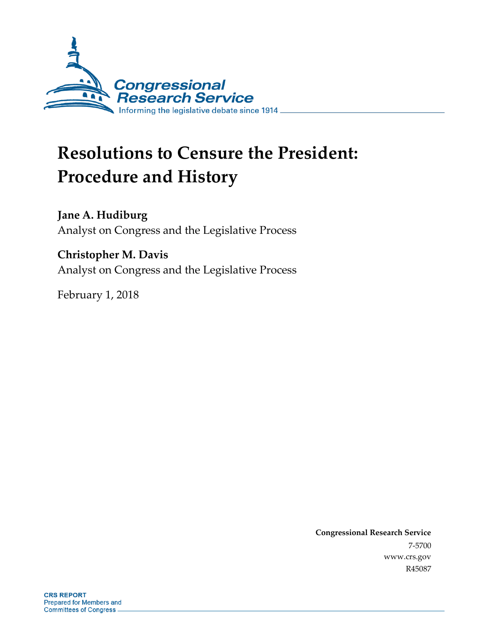

# **Resolutions to Censure the President: Procedure and History**

**Jane A. Hudiburg** Analyst on Congress and the Legislative Process

**Christopher M. Davis** Analyst on Congress and the Legislative Process

February 1, 2018

**Congressional Research Service** 7-5700 www.crs.gov R45087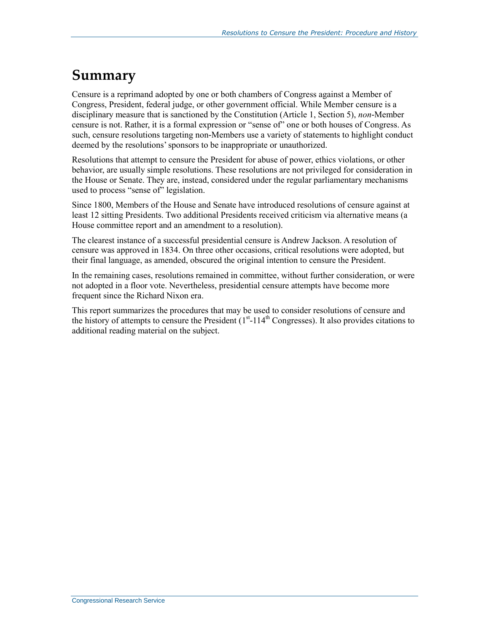## **Summary**

Censure is a reprimand adopted by one or both chambers of Congress against a Member of Congress, President, federal judge, or other government official. While Member censure is a disciplinary measure that is sanctioned by the Constitution (Article 1, Section 5), *non*-Member censure is not. Rather, it is a formal expression or "sense of" one or both houses of Congress. As such, censure resolutions targeting non-Members use a variety of statements to highlight conduct deemed by the resolutions' sponsors to be inappropriate or unauthorized.

Resolutions that attempt to censure the President for abuse of power, ethics violations, or other behavior, are usually simple resolutions. These resolutions are not privileged for consideration in the House or Senate. They are, instead, considered under the regular parliamentary mechanisms used to process "sense of" legislation.

Since 1800, Members of the House and Senate have introduced resolutions of censure against at least 12 sitting Presidents. Two additional Presidents received criticism via alternative means (a House committee report and an amendment to a resolution).

The clearest instance of a successful presidential censure is Andrew Jackson. A resolution of censure was approved in 1834. On three other occasions, critical resolutions were adopted, but their final language, as amended, obscured the original intention to censure the President.

In the remaining cases, resolutions remained in committee, without further consideration, or were not adopted in a floor vote. Nevertheless, presidential censure attempts have become more frequent since the Richard Nixon era.

This report summarizes the procedures that may be used to consider resolutions of censure and the history of attempts to censure the President  $(1<sup>st</sup>-114<sup>th</sup> Congresses)$ . It also provides citations to additional reading material on the subject.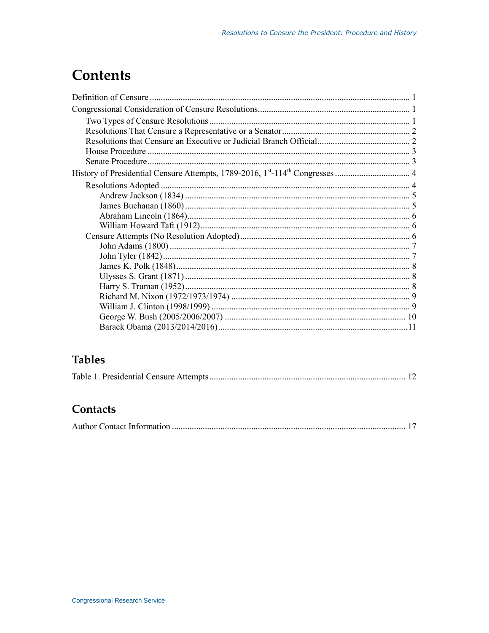## **Contents**

## **Tables**

## Contacts

|--|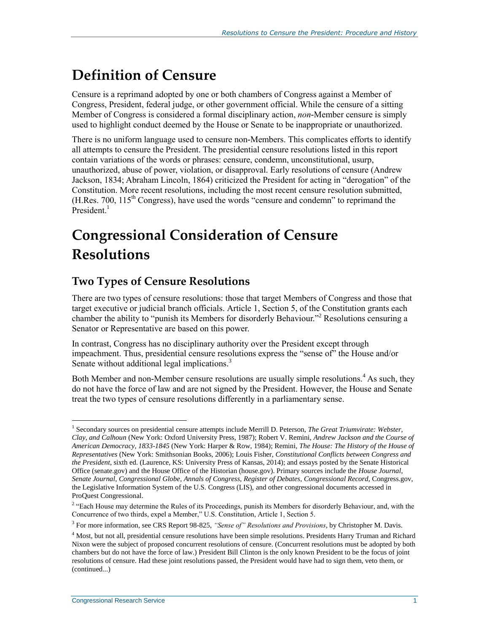## **Definition of Censure**

Censure is a reprimand adopted by one or both chambers of Congress against a Member of Congress, President, federal judge, or other government official. While the censure of a sitting Member of Congress is considered a formal disciplinary action, *non*-Member censure is simply used to highlight conduct deemed by the House or Senate to be inappropriate or unauthorized.

There is no uniform language used to censure non-Members. This complicates efforts to identify all attempts to censure the President. The presidential censure resolutions listed in this report contain variations of the words or phrases: censure, condemn, unconstitutional, usurp, unauthorized, abuse of power, violation, or disapproval. Early resolutions of censure (Andrew Jackson, 1834; Abraham Lincoln, 1864) criticized the President for acting in "derogation" of the Constitution. More recent resolutions, including the most recent censure resolution submitted,  $(H. Res. 700, 115<sup>th</sup> Congress)$ , have used the words "censure and condemn" to reprimand the President.<sup>1</sup>

## **Congressional Consideration of Censure Resolutions**

### **Two Types of Censure Resolutions**

There are two types of censure resolutions: those that target Members of Congress and those that target executive or judicial branch officials. Article 1, Section 5, of the Constitution grants each chamber the ability to "punish its Members for disorderly Behaviour."<sup>2</sup> Resolutions censuring a Senator or Representative are based on this power.

In contrast, Congress has no disciplinary authority over the President except through impeachment. Thus, presidential censure resolutions express the "sense of" the House and/or Senate without additional legal implications.<sup>3</sup>

Both Member and non-Member censure resolutions are usually simple resolutions.<sup>4</sup> As such, they do not have the force of law and are not signed by the President. However, the House and Senate treat the two types of censure resolutions differently in a parliamentary sense.

 $\overline{a}$ 1 Secondary sources on presidential censure attempts include Merrill D. Peterson, *The Great Triumvirate: Webster, Clay, and Calhoun* (New York: Oxford University Press, 1987); Robert V. Remini, *Andrew Jackson and the Course of American Democracy, 1833-1845* (New York: Harper & Row, 1984); Remini, *The House: The History of the House of Representatives* (New York: Smithsonian Books, 2006); Louis Fisher, *Constitutional Conflicts between Congress and the President*, sixth ed. (Laurence, KS: University Press of Kansas, 2014); and essays posted by the Senate Historical Office (senate.gov) and the House Office of the Historian (house.gov). Primary sources include the *House Journal*, *Senate Journal*, *Congressional Globe*, *Annals of Congress*, *Register of Debates*, *Congressional Record*, Congress.gov, the Legislative Information System of the U.S. Congress (LIS), and other congressional documents accessed in ProQuest Congressional.

<sup>&</sup>lt;sup>2</sup> "Each House may determine the Rules of its Proceedings, punish its Members for disorderly Behaviour, and, with the Concurrence of two thirds, expel a Member," U.S. Constitution, Article 1, Section 5.

<sup>3</sup> For more information, see CRS Report 98-825, *"Sense of" Resolutions and Provisions*, by Christopher M. Davis.

<sup>4</sup> Most, but not all, presidential censure resolutions have been simple resolutions. Presidents Harry Truman and Richard Nixon were the subject of proposed concurrent resolutions of censure. (Concurrent resolutions must be adopted by both chambers but do not have the force of law.) President Bill Clinton is the only known President to be the focus of joint resolutions of censure. Had these joint resolutions passed, the President would have had to sign them, veto them, or (continued...)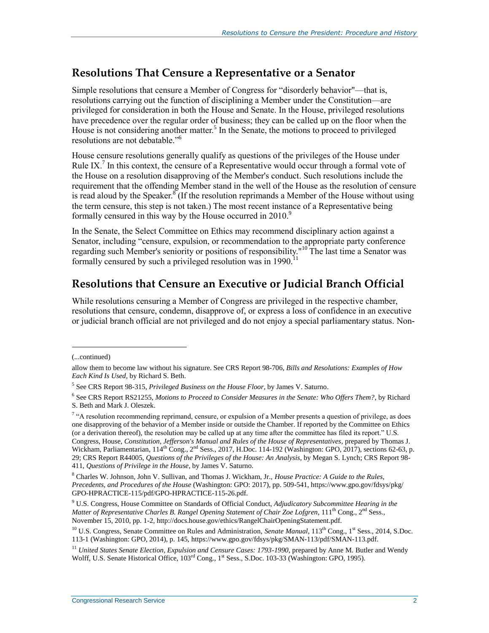#### **Resolutions That Censure a Representative or a Senator**

Simple resolutions that censure a Member of Congress for "disorderly behavior"—that is, resolutions carrying out the function of disciplining a Member under the Constitution—are privileged for consideration in both the House and Senate. In the House, privileged resolutions have precedence over the regular order of business; they can be called up on the floor when the House is not considering another matter.<sup>5</sup> In the Senate, the motions to proceed to privileged resolutions are not debatable." 6

House censure resolutions generally qualify as questions of the privileges of the House under Rule IX.<sup>7</sup> In this context, the censure of a Representative would occur through a formal vote of the House on a resolution disapproving of the Member's conduct. Such resolutions include the requirement that the offending Member stand in the well of the House as the resolution of censure is read aloud by the Speaker.<sup>8</sup> (If the resolution reprimands a Member of the House without using the term censure, this step is not taken.) The most recent instance of a Representative being formally censured in this way by the House occurred in  $2010<sup>9</sup>$ 

In the Senate, the Select Committee on Ethics may recommend disciplinary action against a Senator, including "censure, expulsion, or recommendation to the appropriate party conference regarding such Member's seniority or positions of responsibility."<sup>10</sup> The last time a Senator was formally censured by such a privileged resolution was in  $1990$ <sup>11</sup>

#### **Resolutions that Censure an Executive or Judicial Branch Official**

While resolutions censuring a Member of Congress are privileged in the respective chamber, resolutions that censure, condemn, disapprove of, or express a loss of confidence in an executive or judicial branch official are not privileged and do not enjoy a special parliamentary status. Non-

l

<sup>(...</sup>continued)

allow them to become law without his signature. See CRS Report 98-706, *Bills and Resolutions: Examples of How Each Kind Is Used*, by Richard S. Beth.

<sup>5</sup> See CRS Report 98-315, *Privileged Business on the House Floor*, by James V. Saturno.

<sup>6</sup> See CRS Report RS21255, *Motions to Proceed to Consider Measures in the Senate: Who Offers Them?*, by Richard S. Beth and Mark J. Oleszek.

 $\alpha$ <sup>4</sup> A resolution recommending reprimand, censure, or expulsion of a Member presents a question of privilege, as does one disapproving of the behavior of a Member inside or outside the Chamber. If reported by the Committee on Ethics (or a derivation thereof), the resolution may be called up at any time after the committee has filed its report." U.S. Congress, House, *Constitution, Jefferson's Manual and Rules of the House of Representatives*, prepared by Thomas J. Wickham, Parliamentarian, 114<sup>th</sup> Cong., 2<sup>nd</sup> Sess., 2017, H.Doc. 114-192 (Washington: GPO, 2017), sections 62-63, p. 29; CRS Report R44005, *Questions of the Privileges of the House: An Analysis*, by Megan S. Lynch; CRS Report 98- 411, *Questions of Privilege in the House*, by James V. Saturno.

<sup>8</sup> Charles W. Johnson, John V. Sullivan, and Thomas J. Wickham, Jr., *House Practice: A Guide to the Rules, Precedents, and Procedures of the House* (Washington: GPO: 2017), pp. 509-541, https://www.gpo.gov/fdsys/pkg/ GPO-HPRACTICE-115/pdf/GPO-HPRACTICE-115-26.pdf.

<sup>9</sup> U.S. Congress, House Committee on Standards of Official Conduct, *Adjudicatory Subcommittee Hearing in the Matter of Representative Charles B. Rangel Opening Statement of Chair Zoe Lofgren*, 111<sup>th</sup> Cong., 2<sup>nd</sup> Sess., November 15, 2010, pp. 1-2, http://docs.house.gov/ethics/RangelChairOpeningStatement.pdf.

<sup>&</sup>lt;sup>10</sup> U.S. Congress, Senate Committee on Rules and Administration, *Senate Manual*, 113<sup>th</sup> Cong., 1<sup>st</sup> Sess., 2014, S.Doc. 113-1 (Washington: GPO, 2014), p. 145, https://www.gpo.gov/fdsys/pkg/SMAN-113/pdf/SMAN-113.pdf.

<sup>&</sup>lt;sup>11</sup> United States Senate Election, Expulsion and Censure Cases: 1793-1990, prepared by Anne M. Butler and Wendy Wolff, U.S. Senate Historical Office,  $103^{\text{rd}}$  Cong., 1<sup>st</sup> Sess., S.Doc. 103-33 (Washington: GPO, 1995).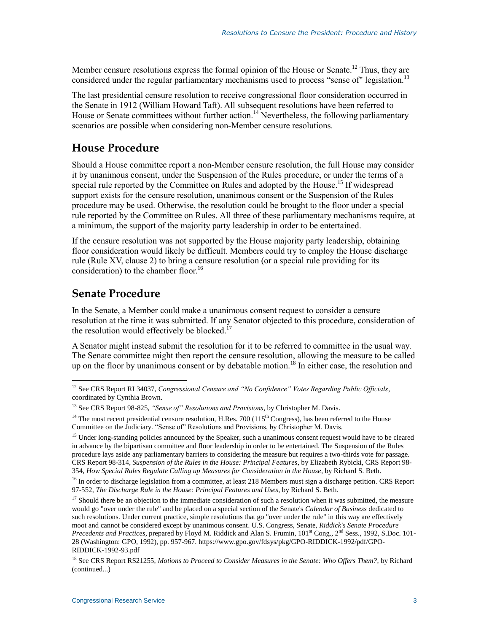Member censure resolutions express the formal opinion of the House or Senate.<sup>12</sup> Thus, they are considered under the regular parliamentary mechanisms used to process "sense of" legislation.<sup>13</sup>

The last presidential censure resolution to receive congressional floor consideration occurred in the Senate in 1912 (William Howard Taft). All subsequent resolutions have been referred to House or Senate committees without further action.<sup>14</sup> Nevertheless, the following parliamentary scenarios are possible when considering non-Member censure resolutions.

### **House Procedure**

Should a House committee report a non-Member censure resolution, the full House may consider it by unanimous consent, under the Suspension of the Rules procedure, or under the terms of a special rule reported by the Committee on Rules and adopted by the House.<sup>15</sup> If widespread support exists for the censure resolution, unanimous consent or the Suspension of the Rules procedure may be used. Otherwise, the resolution could be brought to the floor under a special rule reported by the Committee on Rules. All three of these parliamentary mechanisms require, at a minimum, the support of the majority party leadership in order to be entertained.

If the censure resolution was not supported by the House majority party leadership, obtaining floor consideration would likely be difficult. Members could try to employ the House discharge rule (Rule XV, clause 2) to bring a censure resolution (or a special rule providing for its consideration) to the chamber floor.<sup>16</sup>

### **Senate Procedure**

In the Senate, a Member could make a unanimous consent request to consider a censure resolution at the time it was submitted. If any Senator objected to this procedure, consideration of the resolution would effectively be blocked.<sup>17</sup>

A Senator might instead submit the resolution for it to be referred to committee in the usual way. The Senate committee might then report the censure resolution, allowing the measure to be called up on the floor by unanimous consent or by debatable motion.<sup>18</sup> In either case, the resolution and

 $\overline{a}$ <sup>12</sup> See CRS Report RL34037, *Congressional Censure and "No Confidence" Votes Regarding Public Officials*, coordinated by Cynthia Brown.

<sup>13</sup> See CRS Report 98-825, *"Sense of" Resolutions and Provisions*, by Christopher M. Davis.

<sup>&</sup>lt;sup>14</sup> The most recent presidential censure resolution, H.Res. 700 ( $115<sup>th</sup> Congress$ ), has been referred to the House Committee on the Judiciary. "Sense of" Resolutions and Provisions, by Christopher M. Davis.

<sup>&</sup>lt;sup>15</sup> Under long-standing policies announced by the Speaker, such a unanimous consent request would have to be cleared in advance by the bipartisan committee and floor leadership in order to be entertained. The Suspension of the Rules procedure lays aside any parliamentary barriers to considering the measure but requires a two-thirds vote for passage. CRS Report 98-314, *Suspension of the Rules in the House: Principal Features*, by Elizabeth Rybicki, CRS Report 98- 354, *How Special Rules Regulate Calling up Measures for Consideration in the House*, by Richard S. Beth.

<sup>&</sup>lt;sup>16</sup> In order to discharge legislation from a committee, at least 218 Members must sign a discharge petition. CRS Report 97-552, *The Discharge Rule in the House: Principal Features and Uses*, by Richard S. Beth.

 $17$  Should there be an objection to the immediate consideration of such a resolution when it was submitted, the measure would go "over under the rule" and be placed on a special section of the Senate's *Calendar of Business* dedicated to such resolutions. Under current practice, simple resolutions that go "over under the rule" in this way are effectively moot and cannot be considered except by unanimous consent. U.S. Congress, Senate, *Riddick's Senate Procedure Precedents and Practices*, prepared by Floyd M. Riddick and Alan S. Frumin, 101<sup>st</sup> Cong., 2<sup>nd</sup> Sess., 1992, S.Doc. 101-28 (Washington: GPO, 1992), pp. 957-967. https://www.gpo.gov/fdsys/pkg/GPO-RIDDICK-1992/pdf/GPO-RIDDICK-1992-93.pdf

<sup>18</sup> See CRS Report RS21255, *Motions to Proceed to Consider Measures in the Senate: Who Offers Them?*, by Richard (continued...)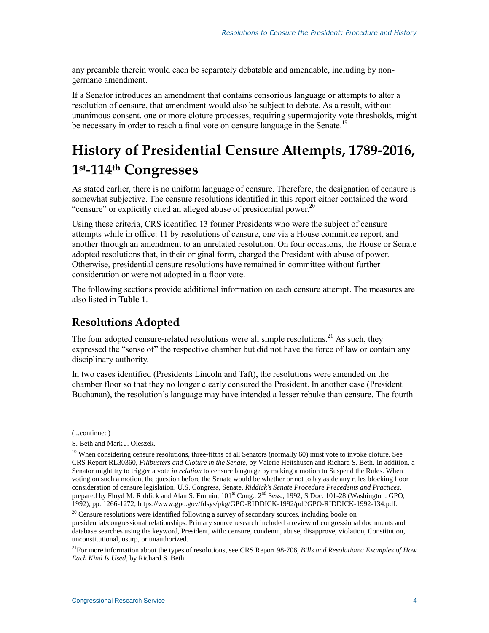any preamble therein would each be separately debatable and amendable, including by nongermane amendment.

If a Senator introduces an amendment that contains censorious language or attempts to alter a resolution of censure, that amendment would also be subject to debate. As a result, without unanimous consent, one or more cloture processes, requiring supermajority vote thresholds, might be necessary in order to reach a final vote on censure language in the Senate.<sup>19</sup>

## **History of Presidential Censure Attempts, 1789-2016, 1 st-114th Congresses**

As stated earlier, there is no uniform language of censure. Therefore, the designation of censure is somewhat subjective. The censure resolutions identified in this report either contained the word "censure" or explicitly cited an alleged abuse of presidential power.<sup>20</sup>

Using these criteria, CRS identified 13 former Presidents who were the subject of censure attempts while in office: 11 by resolutions of censure, one via a House committee report, and another through an amendment to an unrelated resolution. On four occasions, the House or Senate adopted resolutions that, in their original form, charged the President with abuse of power. Otherwise, presidential censure resolutions have remained in committee without further consideration or were not adopted in a floor vote.

The following sections provide additional information on each censure attempt. The measures are also listed in **[Table 1](#page-14-0)**.

### **Resolutions Adopted**

The four adopted censure-related resolutions were all simple resolutions.<sup>21</sup> As such, they expressed the "sense of" the respective chamber but did not have the force of law or contain any disciplinary authority.

In two cases identified (Presidents Lincoln and Taft), the resolutions were amended on the chamber floor so that they no longer clearly censured the President. In another case (President Buchanan), the resolution's language may have intended a lesser rebuke than censure. The fourth

<sup>(...</sup>continued)

S. Beth and Mark J. Oleszek.

<sup>&</sup>lt;sup>19</sup> When considering censure resolutions, three-fifths of all Senators (normally 60) must vote to invoke cloture. See CRS Report RL30360, *Filibusters and Cloture in the Senate*, by Valerie Heitshusen and Richard S. Beth. In addition, a Senator might try to trigger a vote *in relation* to censure language by making a motion to Suspend the Rules. When voting on such a motion, the question before the Senate would be whether or not to lay aside any rules blocking floor consideration of censure legislation. U.S. Congress, Senate, *Riddick's Senate Procedure Precedents and Practices*, prepared by Floyd M. Riddick and Alan S. Frumin,  $101^{\text{st}}$  Cong.,  $2^{\text{nd}}$  Sess., 1992, S.Doc. 101-28 (Washington: GPO, 1992), pp. 1266-1272, https://www.gpo.gov/fdsys/pkg/GPO-RIDDICK-1992/pdf/GPO-RIDDICK-1992-134.pdf.

<sup>&</sup>lt;sup>20</sup> Censure resolutions were identified following a survey of secondary sources, including books on presidential/congressional relationships. Primary source research included a review of congressional documents and database searches using the keyword, President, with: censure, condemn, abuse, disapprove, violation, Constitution, unconstitutional, usurp, or unauthorized.

<sup>21</sup>For more information about the types of resolutions, see CRS Report 98-706, *Bills and Resolutions: Examples of How Each Kind Is Used*, by Richard S. Beth.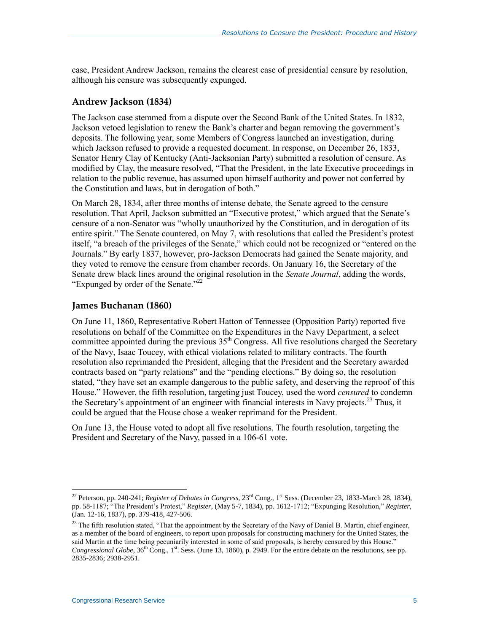case, President Andrew Jackson, remains the clearest case of presidential censure by resolution, although his censure was subsequently expunged.

#### **Andrew Jackson (1834)**

The Jackson case stemmed from a dispute over the Second Bank of the United States. In 1832, Jackson vetoed legislation to renew the Bank's charter and began removing the government's deposits. The following year, some Members of Congress launched an investigation, during which Jackson refused to provide a requested document. In response, on December 26, 1833, Senator Henry Clay of Kentucky (Anti-Jacksonian Party) submitted a resolution of censure. As modified by Clay, the measure resolved, "That the President, in the late Executive proceedings in relation to the public revenue, has assumed upon himself authority and power not conferred by the Constitution and laws, but in derogation of both."

On March 28, 1834, after three months of intense debate, the Senate agreed to the censure resolution. That April, Jackson submitted an "Executive protest," which argued that the Senate's censure of a non-Senator was "wholly unauthorized by the Constitution, and in derogation of its entire spirit." The Senate countered, on May 7, with resolutions that called the President's protest itself, "a breach of the privileges of the Senate," which could not be recognized or "entered on the Journals." By early 1837, however, pro-Jackson Democrats had gained the Senate majority, and they voted to remove the censure from chamber records. On January 16, the Secretary of the Senate drew black lines around the original resolution in the *Senate Journal*, adding the words, "Expunged by order of the Senate."<sup>22</sup>

#### **James Buchanan (1860)**

On June 11, 1860, Representative Robert Hatton of Tennessee (Opposition Party) reported five resolutions on behalf of the Committee on the Expenditures in the Navy Department, a select committee appointed during the previous  $35<sup>th</sup>$  Congress. All five resolutions charged the Secretary of the Navy, Isaac Toucey, with ethical violations related to military contracts. The fourth resolution also reprimanded the President, alleging that the President and the Secretary awarded contracts based on "party relations" and the "pending elections." By doing so, the resolution stated, "they have set an example dangerous to the public safety, and deserving the reproof of this House." However, the fifth resolution, targeting just Toucey, used the word *censured* to condemn the Secretary's appointment of an engineer with financial interests in Navy projects.<sup>23</sup> Thus, it could be argued that the House chose a weaker reprimand for the President.

On June 13, the House voted to adopt all five resolutions. The fourth resolution, targeting the President and Secretary of the Navy, passed in a 106-61 vote.

<sup>&</sup>lt;sup>22</sup> Peterson, pp. 240-241; *Register of Debates in Congress*, 23<sup>rd</sup> Cong., 1<sup>st</sup> Sess. (December 23, 1833-March 28, 1834), pp. 58-1187; "The President's Protest," *Register*, (May 5-7, 1834), pp. 1612-1712; "Expunging Resolution," *Register*, (Jan. 12-16, 1837), pp. 379-418, 427-506.

<sup>&</sup>lt;sup>23</sup> The fifth resolution stated, "That the appointment by the Secretary of the Navy of Daniel B. Martin, chief engineer, as a member of the board of engineers, to report upon proposals for constructing machinery for the United States, the said Martin at the time being pecuniarily interested in some of said proposals, is hereby censured by this House." *Congressional Globe,* 36<sup>th</sup> Cong., 1<sup>st</sup>. Sess. (June 13, 1860), p. 2949. For the entire debate on the resolutions, see pp. 2835-2836; 2938-2951.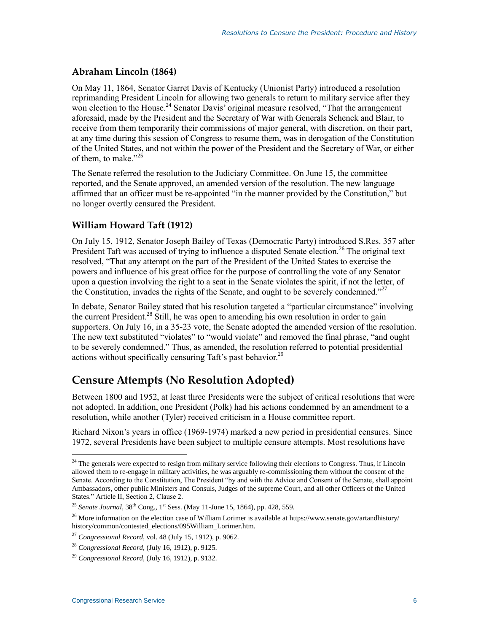#### **Abraham Lincoln (1864)**

On May 11, 1864, Senator Garret Davis of Kentucky (Unionist Party) introduced a resolution reprimanding President Lincoln for allowing two generals to return to military service after they won election to the House.<sup>24</sup> Senator Davis' original measure resolved, "That the arrangement aforesaid, made by the President and the Secretary of War with Generals Schenck and Blair, to receive from them temporarily their commissions of major general, with discretion, on their part, at any time during this session of Congress to resume them, was in derogation of the Constitution of the United States, and not within the power of the President and the Secretary of War, or either of them, to make."<sup>25</sup>

The Senate referred the resolution to the Judiciary Committee. On June 15, the committee reported, and the Senate approved, an amended version of the resolution. The new language affirmed that an officer must be re-appointed "in the manner provided by the Constitution," but no longer overtly censured the President.

#### **William Howard Taft (1912)**

On July 15, 1912, Senator Joseph Bailey of Texas (Democratic Party) introduced S.Res. 357 after President Taft was accused of trying to influence a disputed Senate election.<sup>26</sup> The original text resolved, "That any attempt on the part of the President of the United States to exercise the powers and influence of his great office for the purpose of controlling the vote of any Senator upon a question involving the right to a seat in the Senate violates the spirit, if not the letter, of the Constitution, invades the rights of the Senate, and ought to be severely condemned."<sup>27</sup>

In debate, Senator Bailey stated that his resolution targeted a "particular circumstance" involving the current President.<sup>28</sup> Still, he was open to amending his own resolution in order to gain supporters. On July 16, in a 35-23 vote, the Senate adopted the amended version of the resolution. The new text substituted "violates" to "would violate" and removed the final phrase, "and ought to be severely condemned." Thus, as amended, the resolution referred to potential presidential actions without specifically censuring Taft's past behavior.<sup>29</sup>

### **Censure Attempts (No Resolution Adopted)**

Between 1800 and 1952, at least three Presidents were the subject of critical resolutions that were not adopted. In addition, one President (Polk) had his actions condemned by an amendment to a resolution, while another (Tyler) received criticism in a House committee report.

Richard Nixon's years in office (1969-1974) marked a new period in presidential censures. Since 1972, several Presidents have been subject to multiple censure attempts. Most resolutions have

 $24$  The generals were expected to resign from military service following their elections to Congress. Thus, if Lincoln allowed them to re-engage in military activities, he was arguably re-commissioning them without the consent of the Senate. According to the Constitution, The President "by and with the Advice and Consent of the Senate, shall appoint Ambassadors, other public Ministers and Consuls, Judges of the supreme Court, and all other Officers of the United States." Article II, Section 2, Clause 2.

<sup>&</sup>lt;sup>25</sup> Senate Journal,  $38^{th}$  Cong., 1<sup>st</sup> Sess. (May 11-June 15, 1864), pp. 428, 559.

<sup>&</sup>lt;sup>26</sup> More information on the election case of William Lorimer is available at https://www.senate.gov/artandhistory/ history/common/contested\_elections/095William\_Lorimer.htm.

<sup>27</sup> *Congressional Record*, vol. 48 (July 15, 1912), p. 9062.

<sup>28</sup> *Congressional Record*, (July 16, 1912), p. 9125.

<sup>29</sup> *Congressional Record*, (July 16, 1912), p. 9132.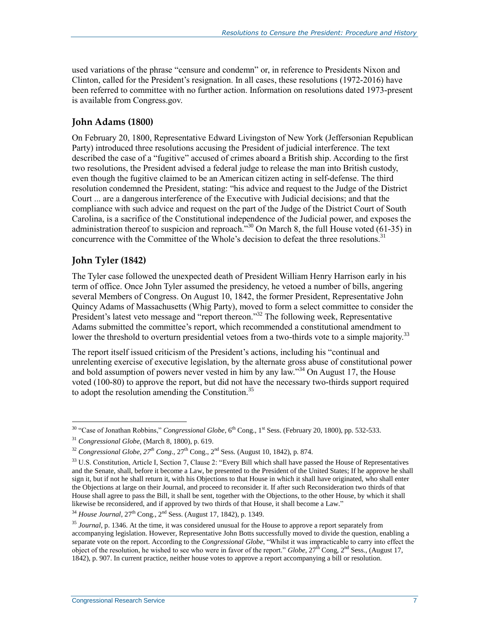used variations of the phrase "censure and condemn" or, in reference to Presidents Nixon and Clinton, called for the President's resignation. In all cases, these resolutions (1972-2016) have been referred to committee with no further action. Information on resolutions dated 1973-present is available from Congress.gov.

#### **John Adams (1800)**

On February 20, 1800, Representative Edward Livingston of New York (Jeffersonian Republican Party) introduced three resolutions accusing the President of judicial interference. The text described the case of a "fugitive" accused of crimes aboard a British ship. According to the first two resolutions, the President advised a federal judge to release the man into British custody, even though the fugitive claimed to be an American citizen acting in self-defense. The third resolution condemned the President, stating: "his advice and request to the Judge of the District Court ... are a dangerous interference of the Executive with Judicial decisions; and that the compliance with such advice and request on the part of the Judge of the District Court of South Carolina, is a sacrifice of the Constitutional independence of the Judicial power, and exposes the administration thereof to suspicion and reproach." $30$  On March 8, the full House voted (61-35) in concurrence with the Committee of the Whole's decision to defeat the three resolutions.<sup>31</sup>

#### **John Tyler (1842)**

 $\overline{a}$ 

The Tyler case followed the unexpected death of President William Henry Harrison early in his term of office. Once John Tyler assumed the presidency, he vetoed a number of bills, angering several Members of Congress. On August 10, 1842, the former President, Representative John Quincy Adams of Massachusetts (Whig Party), moved to form a select committee to consider the President's latest veto message and "report thereon."<sup>32</sup> The following week, Representative Adams submitted the committee's report, which recommended a constitutional amendment to lower the threshold to overturn presidential vetoes from a two-thirds vote to a simple majority.<sup>33</sup>

The report itself issued criticism of the President's actions, including his "continual and unrelenting exercise of executive legislation, by the alternate gross abuse of constitutional power and bold assumption of powers never vested in him by any law."<sup>34</sup> On August 17, the House voted (100-80) to approve the report, but did not have the necessary two-thirds support required to adopt the resolution amending the Constitution.<sup>35</sup>

<sup>&</sup>lt;sup>30</sup> "Case of Jonathan Robbins," *Congressional Globe*, 6<sup>th</sup> Cong., 1<sup>st</sup> Sess. (February 20, 1800), pp. 532-533.

<sup>31</sup> *Congressional Globe*, (March 8, 1800), p. 619.

 $32$  *Congressional Globe,*  $27^{th}$  *Cong.,*  $27^{th}$  *Cong.,*  $2^{nd}$  *Sess. (August 10, 1842), p. 874.* 

<sup>&</sup>lt;sup>33</sup> U.S. Constitution, Article I, Section 7, Clause 2: "Every Bill which shall have passed the House of Representatives and the Senate, shall, before it become a Law, be presented to the President of the United States; If he approve he shall sign it, but if not he shall return it, with his Objections to that House in which it shall have originated, who shall enter the Objections at large on their Journal, and proceed to reconsider it. If after such Reconsideration two thirds of that House shall agree to pass the Bill, it shall be sent, together with the Objections, to the other House, by which it shall likewise be reconsidered, and if approved by two thirds of that House, it shall become a Law."

<sup>&</sup>lt;sup>34</sup> *House Journal*, 27<sup>th</sup> Cong., 2<sup>nd</sup> Sess. (August 17, 1842), p. 1349.

<sup>35</sup> *Journal*, p. 1346. At the time, it was considered unusual for the House to approve a report separately from accompanying legislation. However, Representative John Botts successfully moved to divide the question, enabling a separate vote on the report. According to the *Congressional Globe*, "Whilst it was impracticable to carry into effect the object of the resolution, he wished to see who were in favor of the report." *Globe*, 27<sup>th</sup> Cong, 2<sup>nd</sup> Sess., (August 17, 1842), p. 907. In current practice, neither house votes to approve a report accompanying a bill or resolution.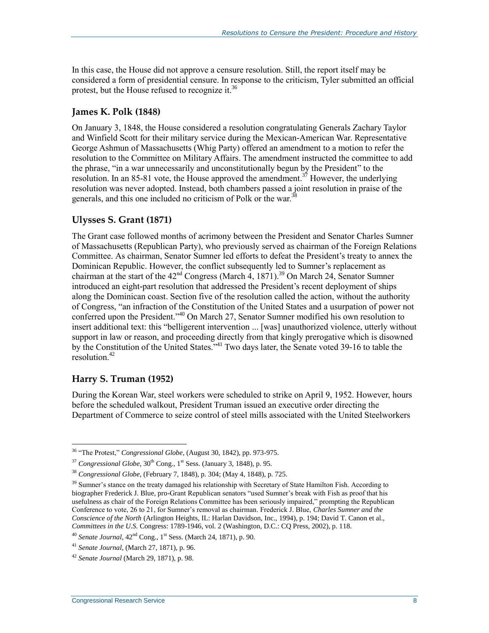In this case, the House did not approve a censure resolution. Still, the report itself may be considered a form of presidential censure. In response to the criticism, Tyler submitted an official protest, but the House refused to recognize it.<sup>36</sup>

#### **James K. Polk (1848)**

On January 3, 1848, the House considered a resolution congratulating Generals Zachary Taylor and Winfield Scott for their military service during the Mexican-American War. Representative George Ashmun of Massachusetts (Whig Party) offered an amendment to a motion to refer the resolution to the Committee on Military Affairs. The amendment instructed the committee to add the phrase, "in a war unnecessarily and unconstitutionally begun by the President" to the resolution. In an 85-81 vote, the House approved the amendment.<sup>37</sup> However, the underlying resolution was never adopted. Instead, both chambers passed a joint resolution in praise of the generals, and this one included no criticism of Polk or the war.<sup>38</sup>

#### **Ulysses S. Grant (1871)**

The Grant case followed months of acrimony between the President and Senator Charles Sumner of Massachusetts (Republican Party), who previously served as chairman of the Foreign Relations Committee. As chairman, Senator Sumner led efforts to defeat the President's treaty to annex the Dominican Republic. However, the conflict subsequently led to Sumner's replacement as chairman at the start of the  $42<sup>nd</sup>$  Congress (March  $4$ , 1871).<sup>39</sup> On March 24, Senator Sumner introduced an eight-part resolution that addressed the President's recent deployment of ships along the Dominican coast. Section five of the resolution called the action, without the authority of Congress, "an infraction of the Constitution of the United States and a usurpation of power not conferred upon the President."<sup>40</sup> On March 27, Senator Sumner modified his own resolution to insert additional text: this "belligerent intervention ... [was] unauthorized violence, utterly without support in law or reason, and proceeding directly from that kingly prerogative which is disowned by the Constitution of the United States." <sup>41</sup> Two days later, the Senate voted 39-16 to table the  $resolution<sup>42</sup>$ 

#### **Harry S. Truman (1952)**

 $\overline{a}$ 

During the Korean War, steel workers were scheduled to strike on April 9, 1952. However, hours before the scheduled walkout, President Truman issued an executive order directing the Department of Commerce to seize control of steel mills associated with the United Steelworkers

<sup>36</sup> "The Protest," *Congressional Globe*, (August 30, 1842), pp. 973-975.

 $37$  *Congressional Globe*,  $30<sup>th</sup>$  Cong., 1<sup>st</sup> Sess. (January 3, 1848), p. 95.

<sup>38</sup> *Congressional Globe*, (February 7, 1848), p. 304; (May 4, 1848), p. 725.

<sup>&</sup>lt;sup>39</sup> Sumner's stance on the treaty damaged his relationship with Secretary of State Hamilton Fish. According to biographer Frederick J. Blue, pro-Grant Republican senators "used Sumner's break with Fish as proof that his usefulness as chair of the Foreign Relations Committee has been seriously impaired," prompting the Republican Conference to vote, 26 to 21, for Sumner's removal as chairman. Frederick J. Blue, *Charles Sumner and the Conscience of the North* (Arlington Heights, IL: Harlan Davidson, Inc., 1994), p. 194; David T. Canon et al., *Committees in the U.S.* Congress: 1789-1946, vol. 2 (Washington, D.C.: CQ Press, 2002), p. 118.

<sup>&</sup>lt;sup>40</sup> Senate Journal,  $42<sup>nd</sup>$  Cong., 1<sup>st</sup> Sess. (March 24, 1871), p. 90.

<sup>41</sup> *Senate Journal*, (March 27, 1871), p. 96.

<sup>42</sup> *Senate Journal* (March 29, 1871), p. 98.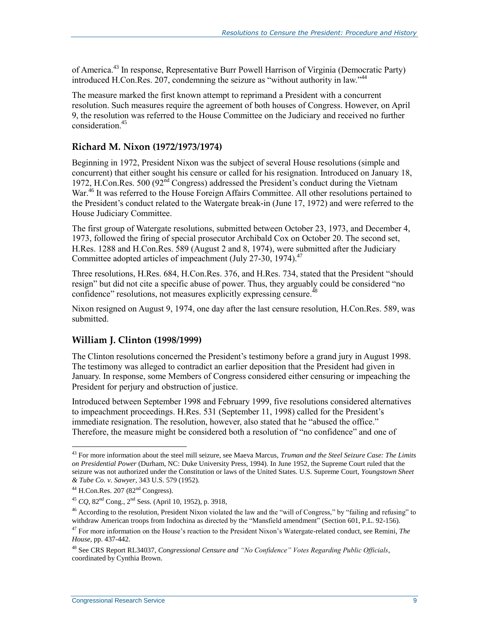of America.<sup>43</sup> In response, Representative Burr Powell Harrison of Virginia (Democratic Party) introduced H.Con.Res. 207, condemning the seizure as "without authority in law."<sup>44</sup>

The measure marked the first known attempt to reprimand a President with a concurrent resolution. Such measures require the agreement of both houses of Congress. However, on April 9, the resolution was referred to the House Committee on the Judiciary and received no further consideration<sup>45</sup>

#### **Richard M. Nixon (1972/1973/1974)**

Beginning in 1972, President Nixon was the subject of several House resolutions (simple and concurrent) that either sought his censure or called for his resignation. Introduced on January 18, 1972, H.Con.Res. 500 ( $92<sup>nd</sup>$  Congress) addressed the President's conduct during the Vietnam War.<sup>46</sup> It was referred to the House Foreign Affairs Committee. All other resolutions pertained to the President's conduct related to the Watergate break-in (June 17, 1972) and were referred to the House Judiciary Committee.

The first group of Watergate resolutions, submitted between October 23, 1973, and December 4, 1973, followed the firing of special prosecutor Archibald Cox on October 20. The second set, [H.Res. 1288](http://www.congress.gov/cgi-lis/bdquery/z?d093:H.Res.1288:) and H.Con.Res. 589 (August 2 and 8, 1974), were submitted after the Judiciary Committee adopted articles of impeachment (July 27-30, 1974). $47$ 

Three resolutions, [H.Res. 684,](http://www.congress.gov/cgi-lis/bdquery/z?d093:H.Res.684:) H.Con.Res. 376, and [H.Res. 734,](http://www.congress.gov/cgi-lis/bdquery/z?d093:H.Res.734:) stated that the President "should resign" but did not cite a specific abuse of power. Thus, they arguably could be considered "no confidence" resolutions, not measures explicitly expressing censure.<sup>48</sup>

Nixon resigned on August 9, 1974, one day after the last censure resolution, H.Con.Res. 589, was submitted.

#### **William J. Clinton (1998/1999)**

The Clinton resolutions concerned the President's testimony before a grand jury in August 1998. The testimony was alleged to contradict an earlier deposition that the President had given in January. In response, some Members of Congress considered either censuring or impeaching the President for perjury and obstruction of justice.

Introduced between September 1998 and February 1999, five resolutions considered alternatives to impeachment proceedings. [H.Res. 531](http://www.congress.gov/cgi-lis/bdquery/z?d105:H.Res.531:) (September 11, 1998) called for the President's immediate resignation. The resolution, however, also stated that he "abused the office." Therefore, the measure might be considered both a resolution of "no confidence" and one of

<sup>43</sup> For more information about the steel mill seizure, see Maeva Marcus, *Truman and the Steel Seizure Case: The Limits on Presidential Power* (Durham, NC: Duke University Press, 1994). In June 1952, the Supreme Court ruled that the seizure was not authorized under the Constitution or laws of the United States. U.S. Supreme Court, *Youngstown Sheet & Tube Co. v. Sawyer*, 343 U.S. 579 (1952).

 $^{44}$  H.Con.Res. 207 (82<sup>nd</sup> Congress).

<sup>45</sup> *CQ*, 82nd Cong., 2nd Sess. (April 10, 1952), p. 3918,

 $46$  According to the resolution, President Nixon violated the law and the "will of Congress," by "failing and refusing" to withdraw American troops from Indochina as directed by the "Mansfield amendment" (Section 601, P.L. 92-156).

<sup>47</sup> For more information on the House's reaction to the President Nixon's Watergate-related conduct, see Remini, *The House*, pp. 437-442.

<sup>48</sup> See CRS Report RL34037, *Congressional Censure and "No Confidence" Votes Regarding Public Officials*, coordinated by Cynthia Brown.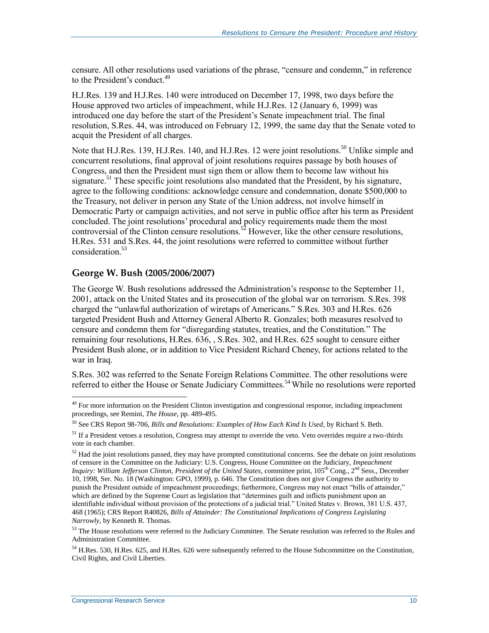censure. All other resolutions used variations of the phrase, "censure and condemn," in reference to the President's conduct.<sup>49</sup>

H.J.Res. 139 an[d H.J.Res. 140](http://www.congress.gov/cgi-lis/bdquery/z?d105:H.J.Res140:) were introduced on December 17, 1998, two days before the House approved two articles of impeachment, while H.J.Res. 12 (January 6, 1999) was introduced one day before the start of the President's Senate impeachment trial. The final resolution, [S.Res. 44,](http://www.congress.gov/cgi-lis/bdquery/z?d106:S.Res.44:) was introduced on February 12, 1999, the same day that the Senate voted to acquit the President of all charges.

Note that H.J.Res. 139, [H.J.Res. 140,](http://www.congress.gov/cgi-lis/bdquery/z?d105:H.J.Res140:) and H.J.Res. 12 were joint resolutions.<sup>50</sup> Unlike simple and concurrent resolutions, final approval of joint resolutions requires passage by both houses of Congress, and then the President must sign them or allow them to become law without his signature.<sup>51</sup> These specific joint resolutions also mandated that the President, by his signature, agree to the following conditions: acknowledge censure and condemnation, donate \$500,000 to the Treasury, not deliver in person any State of the Union address, not involve himself in Democratic Party or campaign activities, and not serve in public office after his term as President concluded. The joint resolutions' procedural and policy requirements made them the most controversial of the Clinton censure resolutions.<sup>52</sup> However, like the other censure resolutions, [H.Res. 531](http://www.congress.gov/cgi-lis/bdquery/z?d105:H.Res.531:) and S.Res. 44, the joint resolutions were referred to committee without further consideration.<sup>53</sup>

#### **George W. Bush (2005/2006/2007)**

The George W. Bush resolutions addressed the Administration's response to the September 11, 2001, attack on the United States and its prosecution of the global war on terrorism. [S.Res. 398](http://www.congress.gov/cgi-lis/bdquery/z?d110:S.Res.398:) charged the "unlawful authorization of wiretaps of Americans." S.Res. 303 and [H.Res. 626](http://www.congress.gov/cgi-lis/bdquery/z?d110:H.Res.626:) targeted President Bush and Attorney General Alberto R. Gonzales; both measures resolved to censure and condemn them for "disregarding statutes, treaties, and the Constitution." The remaining four resolutions, H.Res. 636, , [S.Res. 302,](http://www.congress.gov/cgi-lis/bdquery/z?d110:S.Res.302:) and H.Res. 625 sought to censure either President Bush alone, or in addition to Vice President Richard Cheney, for actions related to the war in Iraq.

[S.Res. 302](http://www.congress.gov/cgi-lis/bdquery/z?d110:S.Res.302:) was referred to the Senate Foreign Relations Committee. The other resolutions were referred to either the House or Senate Judiciary Committees.<sup>54</sup> While no resolutions were reported

<sup>&</sup>lt;sup>49</sup> For more information on the President Clinton investigation and congressional response, including impeachment proceedings, see Remini, *The House*, pp. 489-495.

<sup>50</sup> See CRS Report 98-706, *Bills and Resolutions: Examples of How Each Kind Is Used*, by Richard S. Beth.

<sup>&</sup>lt;sup>51</sup> If a President vetoes a resolution, Congress may attempt to override the veto. Veto overrides require a two-thirds vote in each chamber.

 $52$  Had the joint resolutions passed, they may have prompted constitutional concerns. See the debate on joint resolutions of censure in the Committee on the Judiciary: U.S. Congress, House Committee on the Judiciary, *Impeachment Inquiry: William Jefferson Clinton, President of the United States, committee print, 105<sup>th</sup> Cong., 2<sup>nd</sup> Sess., December* 10, 1998, Ser. No. 18 (Washington: GPO, 1999), p. 646. The Constitution does not give Congress the authority to punish the President outside of impeachment proceedings; furthermore, Congress may not enact "bills of attainder," which are defined by the Supreme Court as legislation that "determines guilt and inflicts punishment upon an identifiable individual without provision of the protections of a judicial trial." United States v. Brown, 381 U.S. 437, 468 (1965); CRS Report R40826, *Bills of Attainder: The Constitutional Implications of Congress Legislating Narrowly*, by Kenneth R. Thomas.

<sup>&</sup>lt;sup>53</sup> The House resolutions were referred to the Judiciary Committee. The Senate resolution was referred to the Rules and Administration Committee.

<sup>54</sup> H.Res. 530, H.Res. 625, and H.Res. 626 were subsequently referred to the House Subcommittee on the Constitution, Civil Rights, and Civil Liberties.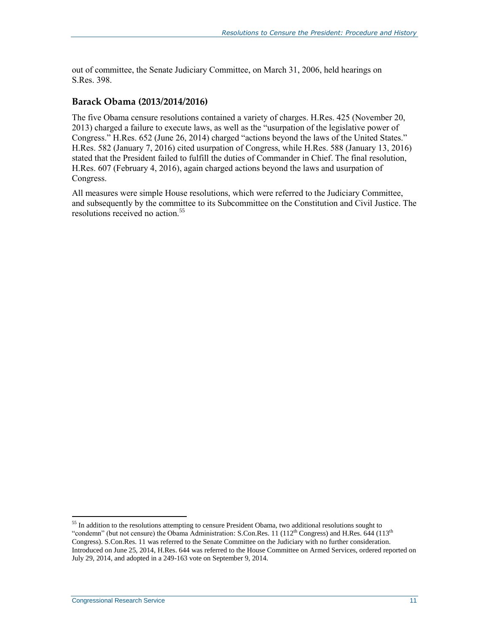out of committee, the Senate Judiciary Committee, on March 31, 2006, held hearings on S.Res. 398.

#### **Barack Obama (2013/2014/2016)**

The five Obama censure resolutions contained a variety of charges. [H.Res. 425](http://www.congress.gov/cgi-lis/bdquery/z?d113:H.Res.425:) (November 20, 2013) charged a failure to execute laws, as well as the "usurpation of the legislative power of Congress." H.Res. 652 (June 26, 2014) charged "actions beyond the laws of the United States." [H.Res. 582](http://www.congress.gov/cgi-lis/bdquery/z?d114:H.Res.582:) (January 7, 2016) cited usurpation of Congress, while H.Res. 588 (January 13, 2016) stated that the President failed to fulfill the duties of Commander in Chief. The final resolution, [H.Res. 607](http://www.congress.gov/cgi-lis/bdquery/z?d114:H.Res.607:) (February 4, 2016), again charged actions beyond the laws and usurpation of Congress.

All measures were simple House resolutions, which were referred to the Judiciary Committee, and subsequently by the committee to its Subcommittee on the Constitution and Civil Justice. The resolutions received no action.<sup>55</sup>

<sup>&</sup>lt;sup>55</sup> In addition to the resolutions attempting to censure President Obama, two additional resolutions sought to "condemn" (but not censure) the Obama Administration: S.Con.Res. 11 (112<sup>th</sup> Congress) and H.Res. 644 (113<sup>th</sup>) Congress). S.Con.Res. 11 was referred to the Senate Committee on the Judiciary with no further consideration. Introduced on June 25, 2014, H.Res. 644 was referred to the House Committee on Armed Services, ordered reported on July 29, 2014, and adopted in a 249-163 vote on September 9, 2014.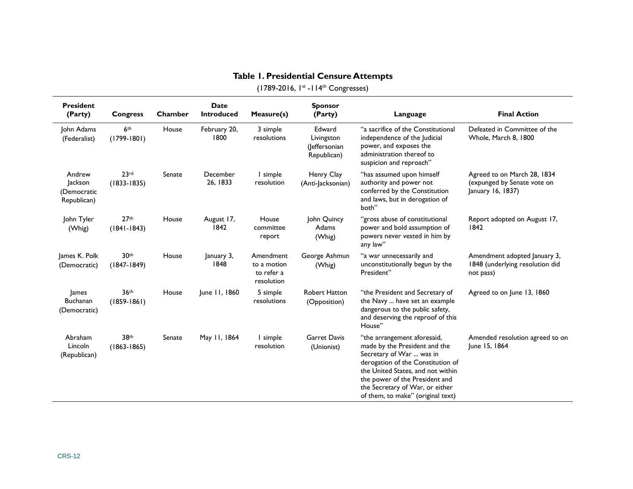<span id="page-14-0"></span>

| <b>President</b><br>(Party)                     | <b>Congress</b>                     | Chamber | <b>Date</b><br><b>Introduced</b> | Measure(s)                                           | <b>Sponsor</b><br>(Party)                            | Language                                                                                                                                                                                                                                                                     | <b>Final Action</b>                                                             |
|-------------------------------------------------|-------------------------------------|---------|----------------------------------|------------------------------------------------------|------------------------------------------------------|------------------------------------------------------------------------------------------------------------------------------------------------------------------------------------------------------------------------------------------------------------------------------|---------------------------------------------------------------------------------|
| John Adams<br>(Federalist)                      | 6 <sup>th</sup><br>$(1799 - 1801)$  | House   | February 20,<br>1800             | 3 simple<br>resolutions                              | Edward<br>Livingston<br>(Jeffersonian<br>Republican) | "a sacrifice of the Constitutional<br>independence of the Judicial<br>power, and exposes the<br>administration thereof to<br>suspicion and reproach"                                                                                                                         | Defeated in Committee of the<br>Whole, March 8, 1800                            |
| Andrew<br>Jackson<br>(Democratic<br>Republican) | 23rd<br>$(1833 - 1835)$             | Senate  | December<br>26, 1833             | I simple<br>resolution                               | Henry Clay<br>(Anti-Jacksonian)                      | "has assumed upon himself<br>authority and power not<br>conferred by the Constitution<br>and laws, but in derogation of<br>both"                                                                                                                                             | Agreed to on March 28, 1834<br>(expunged by Senate vote on<br>January 16, 1837) |
| John Tyler<br>(Whig)                            | 27 <sup>th</sup><br>$(1841 - 1843)$ | House   | August 17,<br>1842               | House<br>committee<br>report                         | John Quincy<br>Adams<br>(Whig)                       | "gross abuse of constitutional<br>power and bold assumption of<br>powers never vested in him by<br>any law"                                                                                                                                                                  | Report adopted on August 17,<br>1842                                            |
| James K. Polk<br>(Democratic)                   | 30 <sup>th</sup><br>$(1847 - 1849)$ | House   | January 3,<br>1848               | Amendment<br>to a motion<br>to refer a<br>resolution | George Ashmun<br>(Whig)                              | "a war unnecessarily and<br>unconstitutionally begun by the<br>President"                                                                                                                                                                                                    | Amendment adopted January 3,<br>1848 (underlying resolution did<br>not pass)    |
| James<br>Buchanan<br>(Democratic)               | 36 <sup>th</sup><br>$(1859 - 1861)$ | House   | June 11, 1860                    | 5 simple<br>resolutions                              | <b>Robert Hatton</b><br>(Opposition)                 | "the President and Secretary of<br>the Navy  have set an example<br>dangerous to the public safety,<br>and deserving the reproof of this<br>House"                                                                                                                           | Agreed to on June 13, 1860                                                      |
| Abraham<br>Lincoln<br>(Republican)              | 38th<br>$(1863 - 1865)$             | Senate  | May 11, 1864                     | I simple<br>resolution                               | <b>Garret Davis</b><br>(Unionist)                    | "the arrangement aforesaid,<br>made by the President and the<br>Secretary of War  was in<br>derogation of the Constitution of<br>the United States, and not within<br>the power of the President and<br>the Secretary of War, or either<br>of them, to make" (original text) | Amended resolution agreed to on<br>June 15, 1864                                |

#### **Table 1. Presidential Censure Attempts**  (1789-2016, 1<sup>st</sup> -114<sup>th</sup> Congresses)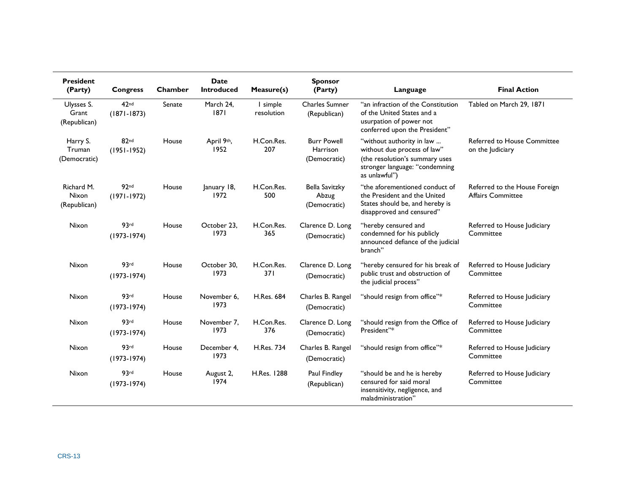| <b>President</b><br>(Party)         | <b>Congress</b>                     | Chamber | <b>Date</b><br><b>Introduced</b> | Measure(s)             | <b>Sponsor</b><br>(Party)                             | Language                                                                                                                                      | <b>Final Action</b>                                       |
|-------------------------------------|-------------------------------------|---------|----------------------------------|------------------------|-------------------------------------------------------|-----------------------------------------------------------------------------------------------------------------------------------------------|-----------------------------------------------------------|
| Ulysses S.<br>Grant<br>(Republican) | 42 <sub>nd</sub><br>$(1871 - 1873)$ | Senate  | March 24,<br>1871                | I simple<br>resolution | <b>Charles Sumner</b><br>(Republican)                 | "an infraction of the Constitution<br>of the United States and a<br>usurpation of power not<br>conferred upon the President"                  | Tabled on March 29, 1871                                  |
| Harry S.<br>Truman<br>(Democratic)  | 82 <sub>nd</sub><br>$(1951-1952)$   | House   | April 9th,<br>1952               | H.Con.Res.<br>207      | <b>Burr Powell</b><br><b>Harrison</b><br>(Democratic) | "without authority in law<br>without due process of law"<br>(the resolution's summary uses<br>stronger language: "condemning<br>as unlawful") | Referred to House Committee<br>on the Judiciary           |
| Richard M.<br>Nixon<br>(Republican) | 92 <sub>nd</sub><br>$(1971 - 1972)$ | House   | January 18,<br>1972              | H.Con.Res.<br>500      | <b>Bella Savitzky</b><br>Abzug<br>(Democratic)        | "the aforementioned conduct of<br>the President and the United<br>States should be, and hereby is<br>disapproved and censured"                | Referred to the House Foreign<br><b>Affairs Committee</b> |
| Nixon                               | 93rd<br>$(1973 - 1974)$             | House   | October 23.<br>1973              | H.Con.Res.<br>365      | Clarence D. Long<br>(Democratic)                      | "hereby censured and<br>condemned for his publicly<br>announced defiance of the judicial<br>branch"                                           | Referred to House Judiciary<br>Committee                  |
| Nixon                               | 93rd<br>$(1973-1974)$               | House   | October 30.<br>1973              | H.Con.Res.<br>371      | Clarence D. Long<br>(Democratic)                      | "hereby censured for his break of<br>public trust and obstruction of<br>the judicial process"                                                 | Referred to House Judiciary<br>Committee                  |
| Nixon                               | 93rd<br>$(1973-1974)$               | House   | November 6,<br>1973              | <b>H.Res. 684</b>      | Charles B. Rangel<br>(Democratic)                     | "should resign from office"*                                                                                                                  | Referred to House Judiciary<br>Committee                  |
| Nixon                               | 93rd<br>$(1973-1974)$               | House   | November 7.<br>1973              | H.Con.Res.<br>376      | Clarence D. Long<br>(Democratic)                      | "should resign from the Office of<br>President"*                                                                                              | Referred to House Judiciary<br>Committee                  |
| Nixon                               | 93rd<br>$(1973-1974)$               | House   | December 4.<br>1973              | <b>H.Res. 734</b>      | Charles B. Rangel<br>(Democratic)                     | "should resign from office"*                                                                                                                  | Referred to House Judiciary<br>Committee                  |
| Nixon                               | 93rd<br>$(1973-1974)$               | House   | August 2,<br>1974                | H.Res. 1288            | Paul Findley<br>(Republican)                          | "should be and he is hereby<br>censured for said moral<br>insensitivity, negligence, and<br>maladministration"                                | Referred to House Judiciary<br>Committee                  |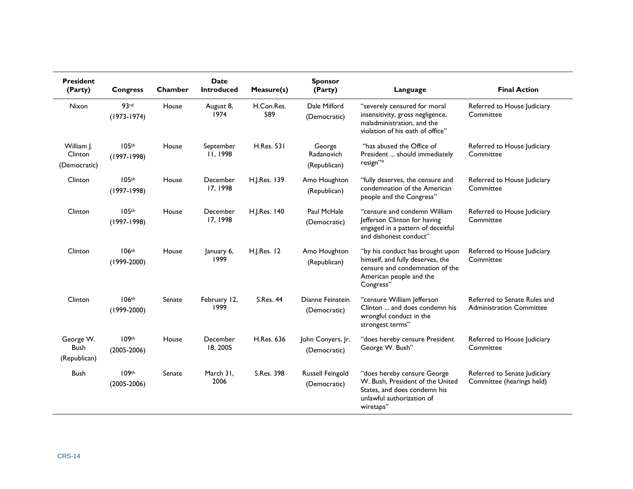| <b>President</b><br>(Party)              | <b>Congress</b>                      | Chamber | Date<br><b>Introduced</b>    | Measure(s)        | <b>Sponsor</b><br>(Party)            | Language                                                                                                                                        | <b>Final Action</b>                                             |
|------------------------------------------|--------------------------------------|---------|------------------------------|-------------------|--------------------------------------|-------------------------------------------------------------------------------------------------------------------------------------------------|-----------------------------------------------------------------|
| <b>Nixon</b>                             | 93rd<br>$(1973-1974)$                | House   | August 8,<br>1974            | H.Con.Res.<br>589 | Dale Milford<br>(Democratic)         | "severely censured for moral<br>insensitivity, gross negligence,<br>maladministration, and the<br>violation of his oath of office"              | Referred to House Judiciary<br>Committee                        |
| William J.<br>Clinton<br>(Democratic)    | 105th<br>$(1997 - 1998)$             | House   | September<br><b>II, 1998</b> | <b>H.Res. 531</b> | George<br>Radanovich<br>(Republican) | "has abused the Office of<br>President  should immediately<br>resign"*                                                                          | Referred to House Judiciary<br>Committee                        |
| Clinton                                  | 105 <sup>th</sup><br>$(1997 - 1998)$ | House   | December<br>17, 1998         | H.J.Res. 139      | Amo Houghton<br>(Republican)         | "fully deserves, the censure and<br>condemnation of the American<br>people and the Congress"                                                    | Referred to House Judiciary<br>Committee                        |
| Clinton                                  | 105 <sup>th</sup><br>$(1997-1998)$   | House   | December<br>17.1998          | H.J.Res. 140      | Paul McHale<br>(Democratic)          | "censure and condemn William<br>Jefferson Clinton for having<br>engaged in a pattern of deceitful<br>and dishonest conduct"                     | Referred to House Judiciary<br>Committee                        |
| Clinton                                  | 106 <sup>th</sup><br>$(1999 - 2000)$ | House   | January 6,<br>1999           | H.J.Res. 12       | Amo Houghton<br>(Republican)         | "by his conduct has brought upon<br>himself, and fully deserves, the<br>censure and condemnation of the<br>American people and the<br>Congress" | Referred to House Judiciary<br>Committee                        |
| Clinton                                  | 106th<br>$(1999 - 2000)$             | Senate  | February 12,<br>1999         | <b>S.Res. 44</b>  | Dianne Feinstein<br>(Democratic)     | "censure William Jefferson<br>Clinton  and does condemn his<br>wrongful conduct in the<br>strongest terms"                                      | Referred to Senate Rules and<br><b>Administration Committee</b> |
| George W.<br><b>Bush</b><br>(Republican) | 109th<br>$(2005 - 2006)$             | House   | December<br>18, 2005         | H.Res. 636        | John Conyers, Jr.<br>(Democratic)    | "does hereby censure President<br>George W. Bush"                                                                                               | Referred to House Judiciary<br>Committee                        |
| <b>Bush</b>                              | 109 <sup>th</sup><br>$(2005 - 2006)$ | Senate  | March 31.<br>2006            | S.Res. 398        | Russell Feingold<br>(Democratic)     | "does hereby censure George<br>W. Bush, President of the United<br>States, and does condemn his<br>unlawful authorization of<br>wiretaps"       | Referred to Senate Judiciary<br>Committee (hearings held)       |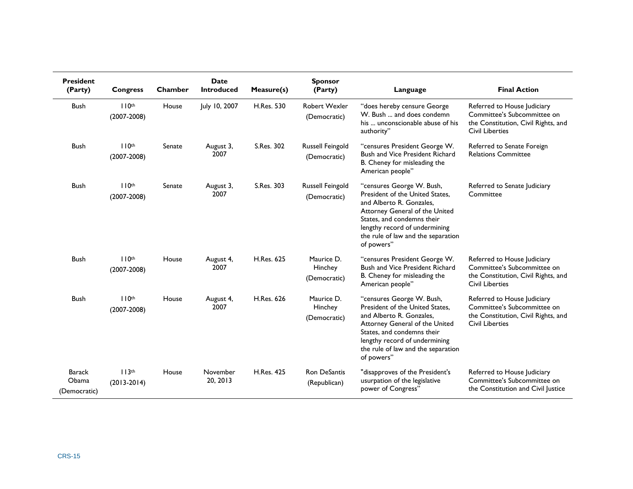| <b>President</b><br>(Party)            | <b>Congress</b>                      | Chamber | <b>Date</b><br><b>Introduced</b> | Measure(s)        | <b>Sponsor</b><br>(Party)               | Language                                                                                                                                                                                                                                      | <b>Final Action</b>                                                                                                         |
|----------------------------------------|--------------------------------------|---------|----------------------------------|-------------------|-----------------------------------------|-----------------------------------------------------------------------------------------------------------------------------------------------------------------------------------------------------------------------------------------------|-----------------------------------------------------------------------------------------------------------------------------|
| <b>Bush</b>                            | 110 <sup>th</sup><br>$(2007 - 2008)$ | House   | July 10, 2007                    | H.Res. 530        | Robert Wexler<br>(Democratic)           | "does hereby censure George<br>W. Bush  and does condemn<br>his  unconscionable abuse of his<br>authority"                                                                                                                                    | Referred to House Judiciary<br>Committee's Subcommittee on<br>the Constitution, Civil Rights, and<br><b>Civil Liberties</b> |
| <b>Bush</b>                            | 110 <sup>th</sup><br>$(2007 - 2008)$ | Senate  | August 3,<br>2007                | S.Res. 302        | <b>Russell Feingold</b><br>(Democratic) | "censures President George W.<br>Bush and Vice President Richard<br>B. Cheney for misleading the<br>American people"                                                                                                                          | Referred to Senate Foreign<br><b>Relations Committee</b>                                                                    |
| <b>Bush</b>                            | 110 <sup>th</sup><br>$(2007 - 2008)$ | Senate  | August 3,<br>2007                | S.Res. 303        | <b>Russell Feingold</b><br>(Democratic) | "censures George W. Bush,<br>President of the United States.<br>and Alberto R. Gonzales.<br>Attorney General of the United<br>States, and condemns their<br>lengthy record of undermining<br>the rule of law and the separation<br>of powers" | Referred to Senate Judiciary<br>Committee                                                                                   |
| <b>Bush</b>                            | 110 <sup>th</sup><br>$(2007 - 2008)$ | House   | August 4,<br>2007                | H.Res. 625        | Maurice D.<br>Hinchey<br>(Democratic)   | "censures President George W.<br><b>Bush and Vice President Richard</b><br>B. Cheney for misleading the<br>American people"                                                                                                                   | Referred to House Judiciary<br>Committee's Subcommittee on<br>the Constitution, Civil Rights, and<br><b>Civil Liberties</b> |
| Bush                                   | 110 <sup>th</sup><br>$(2007 - 2008)$ | House   | August 4,<br>2007                | <b>H.Res. 626</b> | Maurice D.<br>Hinchey<br>(Democratic)   | "censures George W. Bush,<br>President of the United States.<br>and Alberto R. Gonzales.<br>Attorney General of the United<br>States, and condemns their<br>lengthy record of undermining<br>the rule of law and the separation<br>of powers" | Referred to House Judiciary<br>Committee's Subcommittee on<br>the Constitution, Civil Rights, and<br><b>Civil Liberties</b> |
| <b>Barack</b><br>Obama<br>(Democratic) | 113 <sup>th</sup><br>$(2013 - 2014)$ | House   | November<br>20, 2013             | <b>H.Res. 425</b> | <b>Ron DeSantis</b><br>(Republican)     | "disapproves of the President's<br>usurpation of the legislative<br>power of Congress"                                                                                                                                                        | Referred to House Judiciary<br>Committee's Subcommittee on<br>the Constitution and Civil Justice                            |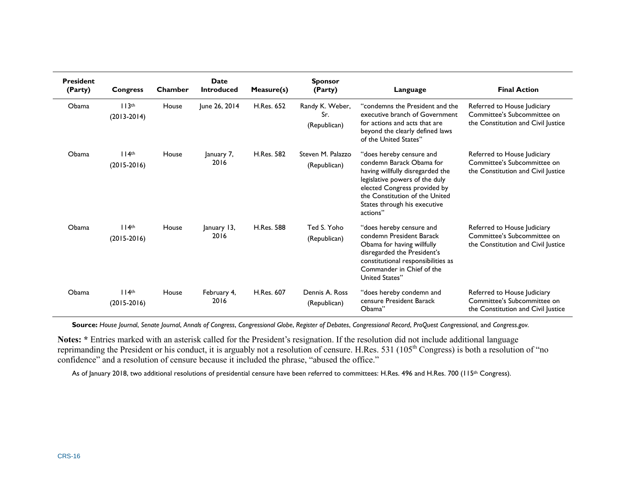| <b>President</b><br>(Party) | <b>Congress</b>                      | Chamber | Date<br><b>Introduced</b> | Measure(s)        | <b>Sponsor</b><br>(Party)              | Language                                                                                                                                                                                                                                 | <b>Final Action</b>                                                                              |
|-----------------------------|--------------------------------------|---------|---------------------------|-------------------|----------------------------------------|------------------------------------------------------------------------------------------------------------------------------------------------------------------------------------------------------------------------------------------|--------------------------------------------------------------------------------------------------|
| Obama                       | 113 <sup>th</sup><br>$(2013 - 2014)$ | House   | June 26, 2014             | H.Res. 652        | Randy K. Weber,<br>Sr.<br>(Republican) | "condemns the President and the<br>executive branch of Government<br>for actions and acts that are<br>beyond the clearly defined laws<br>of the United States"                                                                           | Referred to House Judiciary<br>Committee's Subcommittee on<br>the Constitution and Civil Justice |
| Obama                       | 114 <sup>th</sup><br>$(2015-2016)$   | House   | January 7,<br>2016        | <b>H.Res. 582</b> | Steven M. Palazzo<br>(Republican)      | "does hereby censure and<br>condemn Barack Obama for<br>having willfully disregarded the<br>legislative powers of the duly<br>elected Congress provided by<br>the Constitution of the United<br>States through his executive<br>actions" | Referred to House Judiciary<br>Committee's Subcommittee on<br>the Constitution and Civil Justice |
| Obama                       | 114 <sup>th</sup><br>$(2015-2016)$   | House   | January 13,<br>2016       | H.Res. 588        | Ted S. Yoho<br>(Republican)            | "does hereby censure and<br>condemn President Barack<br>Obama for having willfully<br>disregarded the President's<br>constitutional responsibilities as<br>Commander in Chief of the<br>United States"                                   | Referred to House Judiciary<br>Committee's Subcommittee on<br>the Constitution and Civil Justice |
| Obama                       | 114 <sup>th</sup><br>$(2015-2016)$   | House   | February 4,<br>2016       | H.Res. 607        | Dennis A. Ross<br>(Republican)         | "does hereby condemn and<br>censure President Barack<br>Obama"                                                                                                                                                                           | Referred to House Judiciary<br>Committee's Subcommittee on<br>the Constitution and Civil Justice |

Source: House Journal, Senate Journal, Annals of Congress, Congressional Globe, Register of Debates, Congressional Record, ProQuest Congressional, and Congress.gov.

**Notes: \*** Entries marked with an asterisk called for the President's resignation. If the resolution did not include additional language reprimanding the President or his conduct, it is arguably not a resolution of censure. H.Res. 531 (105<sup>th</sup> Congress) is both a resolution of "no confidence" and a resolution of censure because it included the phrase, "abused the office."

As of January 2018, two additional resolutions of presidential censure have been referred to committees: H.Res. 496 and [H.Res. 700](http://www.congress.gov/cgi-lis/bdquery/z?d115:H.Res.700:) (115<sup>th</sup> Congress).